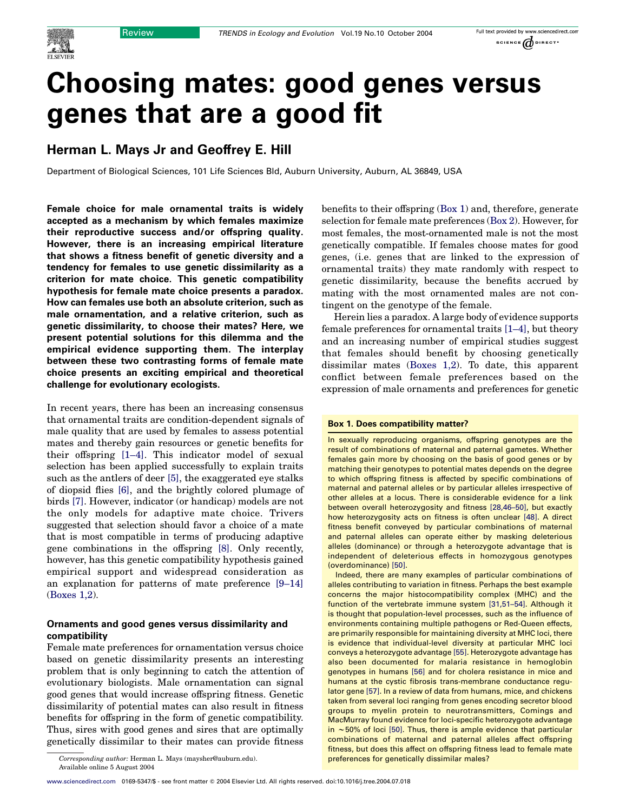

# Choosing mates: good genes versus genes that are a good fit

## Herman L. Mays Jr and Geoffrey E. Hill

Department of Biological Sciences, 101 Life Sciences Bld, Auburn University, Auburn, AL 36849, USA

Female choice for male ornamental traits is widely accepted as a mechanism by which females maximize their reproductive success and/or offspring quality. However, there is an increasing empirical literature that shows a fitness benefit of genetic diversity and a tendency for females to use genetic dissimilarity as a criterion for mate choice. This genetic compatibility hypothesis for female mate choice presents a paradox. How can females use both an absolute criterion, such as male ornamentation, and a relative criterion, such as genetic dissimilarity, to choose their mates? Here, we present potential solutions for this dilemma and the empirical evidence supporting them. The interplay between these two contrasting forms of female mate choice presents an exciting empirical and theoretical challenge for evolutionary ecologists.

In recent years, there has been an increasing consensus that ornamental traits are condition-dependent signals of male quality that are used by females to assess potential mates and thereby gain resources or genetic benefits for their offspring [\[1–4\]](#page-4-0). This indicator model of sexual selection has been applied successfully to explain traits such as the antlers of deer [\[5\]](#page-4-0), the exaggerated eye stalks of diopsid flies [\[6\],](#page-4-0) and the brightly colored plumage of birds [\[7\]](#page-4-0). However, indicator (or handicap) models are not the only models for adaptive mate choice. Trivers suggested that selection should favor a choice of a mate that is most compatible in terms of producing adaptive gene combinations in the offspring [\[8\].](#page-4-0) Only recently, however, has this genetic compatibility hypothesis gained empirical support and widespread consideration as an explanation for patterns of mate preference [\[9–14\]](#page-4-0) (Boxes 1,2).

## Ornaments and good genes versus dissimilarity and compatibility

Female mate preferences for ornamentation versus choice based on genetic dissimilarity presents an interesting problem that is only beginning to catch the attention of evolutionary biologists. Male ornamentation can signal good genes that would increase offspring fitness. Genetic dissimilarity of potential mates can also result in fitness benefits for offspring in the form of genetic compatibility. Thus, sires with good genes and sires that are optimally genetically dissimilar to their mates can provide fitness

Corresponding author: Herman L. Mays (maysher@auburn.edu). preferences for genetically dissimilar males? Available online 5 August 2004

benefits to their offspring (Box 1) and, therefore, generate selection for female mate preferences (Box 2). However, for most females, the most-ornamented male is not the most genetically compatible. If females choose mates for good genes, (i.e. genes that are linked to the expression of ornamental traits) they mate randomly with respect to genetic dissimilarity, because the benefits accrued by mating with the most ornamented males are not contingent on the genotype of the female.

Herein lies a paradox. A large body of evidence supports female preferences for ornamental traits [\[1–4\]](#page-4-0), but theory and an increasing number of empirical studies suggest that females should benefit by choosing genetically dissimilar mates (Boxes 1,2). To date, this apparent conflict between female preferences based on the expression of male ornaments and preferences for genetic

## Box 1. Does compatibility matter?

In sexually reproducing organisms, offspring genotypes are the result of combinations of maternal and paternal gametes. Whether females gain more by choosing on the basis of good genes or by matching their genotypes to potential mates depends on the degree to which offspring fitness is affected by specific combinations of maternal and paternal alleles or by particular alleles irrespective of other alleles at a locus. There is considerable evidence for a link between overall heterozygosity and fitness [\[28,46–50\],](#page-4-0) but exactly how heterozygosity acts on fitness is often unclear [\[48\].](#page-5-0) A direct fitness benefit conveyed by particular combinations of maternal and paternal alleles can operate either by masking deleterious alleles (dominance) or through a heterozygote advantage that is independent of deleterious effects in homozygous genotypes (overdominance) [\[50\].](#page-5-0)

Indeed, there are many examples of particular combinations of alleles contributing to variation in fitness. Perhaps the best example concerns the major histocompatibility complex (MHC) and the function of the vertebrate immune system [\[31,51–54\].](#page-4-0) Although it is thought that population-level processes, such as the influence of environments containing multiple pathogens or Red-Queen effects, are primarily responsible for maintaining diversity at MHC loci, there is evidence that individual-level diversity at particular MHC loci conveys a heterozygote advantage [\[55\].](#page-5-0) Heterozygote advantage has also been documented for malaria resistance in hemoglobin genotypes in humans [\[56\]](#page-5-0) and for cholera resistance in mice and humans at the cystic fibrosis trans-membrane conductance requlator gene [\[57\]](#page-5-0). In a review of data from humans, mice, and chickens taken from several loci ranging from genes encoding secretor blood groups to myelin protein to neurotransmitters, Comings and MacMurray found evidence for loci-specific heterozygote advantage in ~50% of loci [\[50\].](#page-5-0) Thus, there is ample evidence that particular combinations of maternal and paternal alleles affect offspring fitness, but does this affect on offspring fitness lead to female mate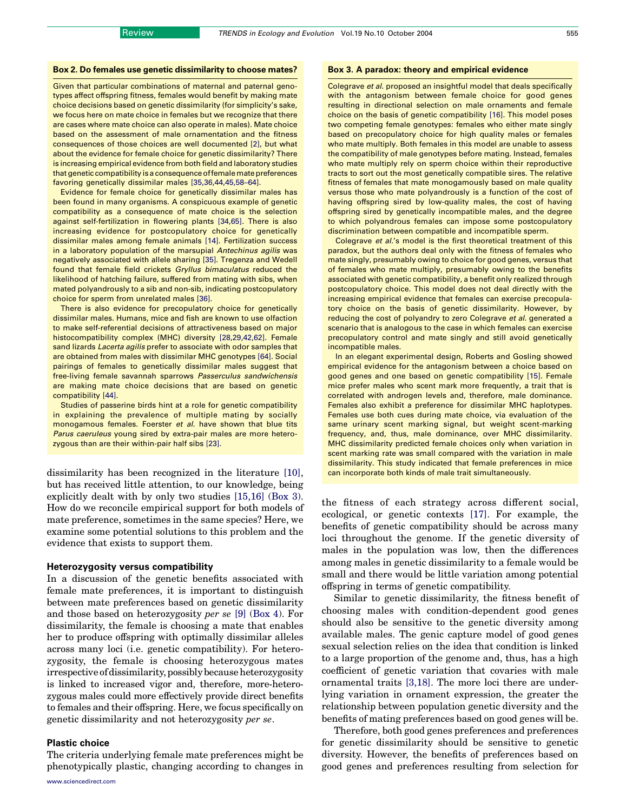## Box 2. Do females use genetic dissimilarity to choose mates?

Given that particular combinations of maternal and paternal genotypes affect offspring fitness, females would benefit by making mate choice decisions based on genetic dissimilarity (for simplicity's sake, we focus here on mate choice in females but we recognize that there are cases where mate choice can also operate in males). Mate choice based on the assessment of male ornamentation and the fitness consequences of those choices are well documented [\[2\]](#page-4-0), but what about the evidence for female choice for genetic dissimilarity? There is increasing empirical evidence from both field and laboratory studies that genetic compatibility is a consequence of female mate preferences favoring genetically dissimilar males [\[35,36,44,45,58–64\]](#page-4-0).

Evidence for female choice for genetically dissimilar males has been found in many organisms. A conspicuous example of genetic compatibility as a consequence of mate choice is the selection against self-fertilization in flowering plants [\[34,65\].](#page-4-0) There is also increasing evidence for postcopulatory choice for genetically dissimilar males among female animals [\[14\].](#page-4-0) Fertilization success in a laboratory population of the marsupial Antechinus agilis was negatively associated with allele sharing [\[35\]](#page-4-0). Tregenza and Wedell found that female field crickets Gryllus bimaculatus reduced the likelihood of hatching failure, suffered from mating with sibs, when mated polyandrously to a sib and non-sib, indicating postcopulatory choice for sperm from unrelated males [\[36\].](#page-4-0)

There is also evidence for precopulatory choice for genetically dissimilar males. Humans, mice and fish are known to use olfaction to make self-referential decisions of attractiveness based on major histocompatibility complex (MHC) diversity [\[28,29,42,62\]](#page-4-0). Female sand lizards Lacerta agilis prefer to associate with odor samples that are obtained from males with dissimilar MHC genotypes [\[64\]](#page-5-0). Social pairings of females to genetically dissimilar males suggest that free-living female savannah sparrows Passerculus sandwichensis are making mate choice decisions that are based on genetic compatibility [\[44\].](#page-4-0)

Studies of passerine birds hint at a role for genetic compatibility in explaining the prevalence of multiple mating by socially monogamous females. Foerster et al. have shown that blue tits Parus caeruleus young sired by extra-pair males are more heterozygous than are their within-pair half sibs [\[23\].](#page-4-0)

dissimilarity has been recognized in the literature [\[10\]](#page-4-0), but has received little attention, to our knowledge, being explicitly dealt with by only two studies [\[15,16\]](#page-4-0) (Box 3). How do we reconcile empirical support for both models of mate preference, sometimes in the same species? Here, we examine some potential solutions to this problem and the evidence that exists to support them.

#### Heterozygosity versus compatibility

In a discussion of the genetic benefits associated with female mate preferences, it is important to distinguish between mate preferences based on genetic dissimilarity and those based on heterozygosity per se [\[9\]](#page-4-0) (Box 4). For dissimilarity, the female is choosing a mate that enables her to produce offspring with optimally dissimilar alleles across many loci (i.e. genetic compatibility). For heterozygosity, the female is choosing heterozygous mates irrespective of dissimilarity, possibly because heterozygosity is linked to increased vigor and, therefore, more-heterozygous males could more effectively provide direct benefits to females and their offspring. Here, we focus specifically on genetic dissimilarity and not heterozygosity per se.

### Plastic choice

The criteria underlying female mate preferences might be phenotypically plastic, changing according to changes in

#### Box 3. A paradox: theory and empirical evidence

Colegrave et al. proposed an insightful model that deals specifically with the antagonism between female choice for good genes resulting in directional selection on male ornaments and female choice on the basis of genetic compatibility [\[16\]](#page-4-0). This model poses two competing female genotypes: females who either mate singly based on precopulatory choice for high quality males or females who mate multiply. Both females in this model are unable to assess the compatibility of male genotypes before mating. Instead, females who mate multiply rely on sperm choice within their reproductive tracts to sort out the most genetically compatible sires. The relative fitness of females that mate monogamously based on male quality versus those who mate polyandrously is a function of the cost of having offspring sired by low-quality males, the cost of having offspring sired by genetically incompatible males, and the degree to which polyandrous females can impose some postcopulatory discrimination between compatible and incompatible sperm.

Colegrave et al.'s model is the first theoretical treatment of this paradox, but the authors deal only with the fitness of females who mate singly, presumably owing to choice for good genes, versus that of females who mate multiply, presumably owing to the benefits associated with genetic compatibility, a benefit only realized through postcopulatory choice. This model does not deal directly with the increasing empirical evidence that females can exercise precopulatory choice on the basis of genetic dissimilarity. However, by reducing the cost of polyandry to zero Colegrave et al. generated a scenario that is analogous to the case in which females can exercise precopulatory control and mate singly and still avoid genetically incompatible males.

In an elegant experimental design, Roberts and Gosling showed empirical evidence for the antagonism between a choice based on good genes and one based on genetic compatibility [\[15\].](#page-4-0) Female mice prefer males who scent mark more frequently, a trait that is correlated with androgen levels and, therefore, male dominance. Females also exhibit a preference for dissimilar MHC haplotypes. Females use both cues during mate choice, via evaluation of the same urinary scent marking signal, but weight scent-marking frequency, and, thus, male dominance, over MHC dissimilarity. MHC dissimilarity predicted female choices only when variation in scent marking rate was small compared with the variation in male dissimilarity. This study indicated that female preferences in mice can incorporate both kinds of male trait simultaneously.

the fitness of each strategy across different social, ecological, or genetic contexts [\[17\].](#page-4-0) For example, the benefits of genetic compatibility should be across many loci throughout the genome. If the genetic diversity of males in the population was low, then the differences among males in genetic dissimilarity to a female would be small and there would be little variation among potential offspring in terms of genetic compatibility.

Similar to genetic dissimilarity, the fitness benefit of choosing males with condition-dependent good genes should also be sensitive to the genetic diversity among available males. The genic capture model of good genes sexual selection relies on the idea that condition is linked to a large proportion of the genome and, thus, has a high coefficient of genetic variation that covaries with male ornamental traits [\[3,18\]](#page-4-0). The more loci there are underlying variation in ornament expression, the greater the relationship between population genetic diversity and the benefits of mating preferences based on good genes will be.

Therefore, both good genes preferences and preferences for genetic dissimilarity should be sensitive to genetic diversity. However, the benefits of preferences based on good genes and preferences resulting from selection for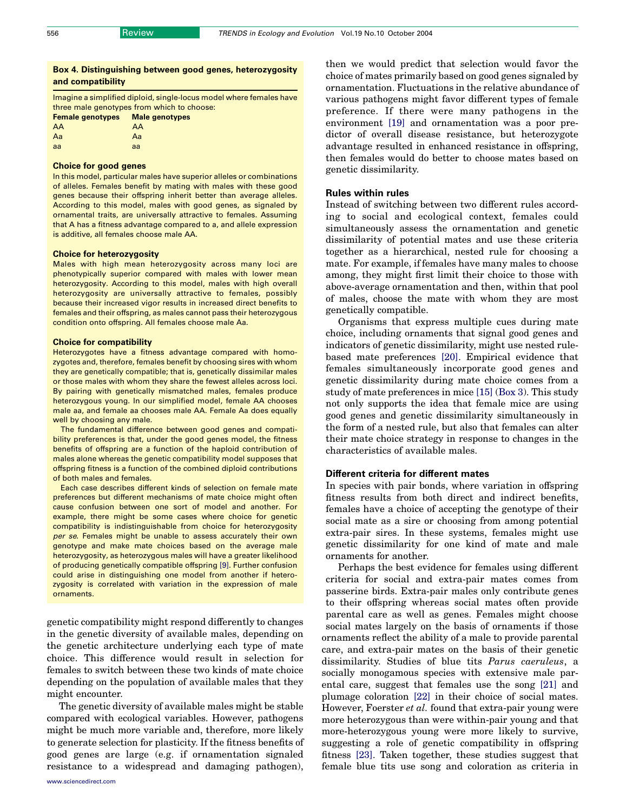## Box 4. Distinguishing between good genes, heterozygosity and compatibility

Imagine a simplified diploid, single-locus model where females have three male genotypes from which to choose: Female genotypes Male genotypes AA AA<br>Aa Aa Aa Aa

| .  | .  |  |
|----|----|--|
| aa | aa |  |
|    |    |  |

## Choice for good genes

In this model, particular males have superior alleles or combinations of alleles. Females benefit by mating with males with these good genes because their offspring inherit better than average alleles. According to this model, males with good genes, as signaled by ornamental traits, are universally attractive to females. Assuming that A has a fitness advantage compared to a, and allele expression is additive, all females choose male AA.

#### Choice for heterozygosity

Males with high mean heterozygosity across many loci are phenotypically superior compared with males with lower mean heterozygosity. According to this model, males with high overall heterozygosity are universally attractive to females, possibly because their increased vigor results in increased direct benefits to females and their offspring, as males cannot pass their heterozygous condition onto offspring. All females choose male Aa.

#### Choice for compatibility

Heterozygotes have a fitness advantage compared with homozygotes and, therefore, females benefit by choosing sires with whom they are genetically compatible; that is, genetically dissimilar males or those males with whom they share the fewest alleles across loci. By pairing with genetically mismatched males, females produce heterozygous young. In our simplified model, female AA chooses male aa, and female aa chooses male AA. Female Aa does equally well by choosing any male.

The fundamental difference between good genes and compatibility preferences is that, under the good genes model, the fitness benefits of offspring are a function of the haploid contribution of males alone whereas the genetic compatibility model supposes that offspring fitness is a function of the combined diploid contributions of both males and females.

Each case describes different kinds of selection on female mate preferences but different mechanisms of mate choice might often cause confusion between one sort of model and another. For example, there might be some cases where choice for genetic compatibility is indistinguishable from choice for heterozygosity per se. Females might be unable to assess accurately their own genotype and make mate choices based on the average male heterozygosity, as heterozygous males will have a greater likelihood of producing genetically compatible offspring [\[9\].](#page-4-0) Further confusion could arise in distinguishing one model from another if heterozygosity is correlated with variation in the expression of male ornaments.

genetic compatibility might respond differently to changes in the genetic diversity of available males, depending on the genetic architecture underlying each type of mate choice. This difference would result in selection for females to switch between these two kinds of mate choice depending on the population of available males that they might encounter.

The genetic diversity of available males might be stable compared with ecological variables. However, pathogens might be much more variable and, therefore, more likely to generate selection for plasticity. If the fitness benefits of good genes are large (e.g. if ornamentation signaled resistance to a widespread and damaging pathogen),

then we would predict that selection would favor the choice of mates primarily based on good genes signaled by ornamentation. Fluctuations in the relative abundance of various pathogens might favor different types of female preference. If there were many pathogens in the environment [\[19\]](#page-4-0) and ornamentation was a poor predictor of overall disease resistance, but heterozygote advantage resulted in enhanced resistance in offspring, then females would do better to choose mates based on genetic dissimilarity.

## Rules within rules

Instead of switching between two different rules according to social and ecological context, females could simultaneously assess the ornamentation and genetic dissimilarity of potential mates and use these criteria together as a hierarchical, nested rule for choosing a mate. For example, if females have many males to choose among, they might first limit their choice to those with above-average ornamentation and then, within that pool of males, choose the mate with whom they are most genetically compatible.

Organisms that express multiple cues during mate choice, including ornaments that signal good genes and indicators of genetic dissimilarity, might use nested rulebased mate preferences [\[20\]](#page-4-0). Empirical evidence that females simultaneously incorporate good genes and genetic dissimilarity during mate choice comes from a study of mate preferences in mice [\[15\]](#page-4-0) (Box 3). This study not only supports the idea that female mice are using good genes and genetic dissimilarity simultaneously in the form of a nested rule, but also that females can alter their mate choice strategy in response to changes in the characteristics of available males.

## Different criteria for different mates

In species with pair bonds, where variation in offspring fitness results from both direct and indirect benefits, females have a choice of accepting the genotype of their social mate as a sire or choosing from among potential extra-pair sires. In these systems, females might use genetic dissimilarity for one kind of mate and male ornaments for another.

Perhaps the best evidence for females using different criteria for social and extra-pair mates comes from passerine birds. Extra-pair males only contribute genes to their offspring whereas social mates often provide parental care as well as genes. Females might choose social mates largely on the basis of ornaments if those ornaments reflect the ability of a male to provide parental care, and extra-pair mates on the basis of their genetic dissimilarity. Studies of blue tits Parus caeruleus, a socially monogamous species with extensive male parental care, suggest that females use the song [\[21\]](#page-4-0) and plumage coloration [\[22\]](#page-4-0) in their choice of social mates. However, Foerster et al. found that extra-pair young were more heterozygous than were within-pair young and that more-heterozygous young were more likely to survive, suggesting a role of genetic compatibility in offspring fitness [\[23\].](#page-4-0) Taken together, these studies suggest that female blue tits use song and coloration as criteria in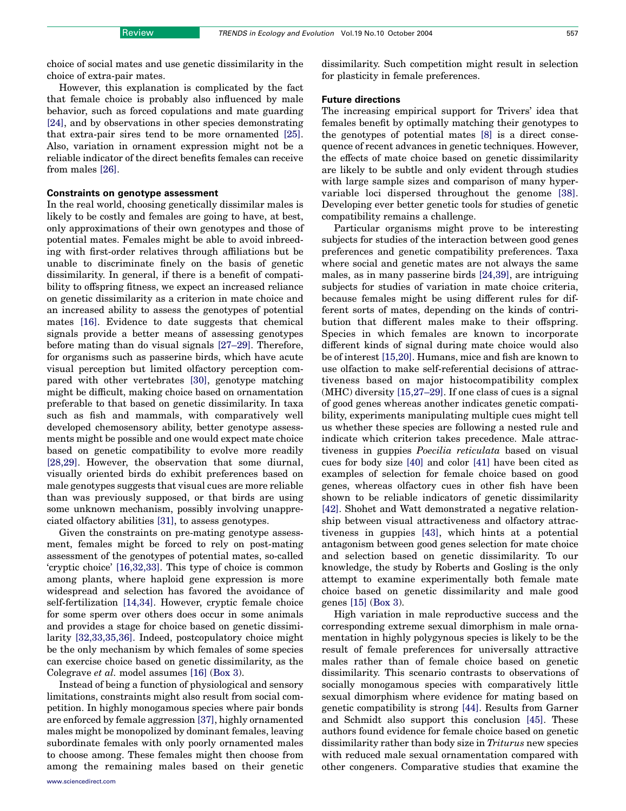choice of social mates and use genetic dissimilarity in the choice of extra-pair mates.

However, this explanation is complicated by the fact that female choice is probably also influenced by male behavior, such as forced copulations and mate guarding [\[24\],](#page-4-0) and by observations in other species demonstrating that extra-pair sires tend to be more ornamented [\[25\]](#page-4-0). Also, variation in ornament expression might not be a reliable indicator of the direct benefits females can receive from males [\[26\]](#page-4-0).

## Constraints on genotype assessment

In the real world, choosing genetically dissimilar males is likely to be costly and females are going to have, at best, only approximations of their own genotypes and those of potential mates. Females might be able to avoid inbreeding with first-order relatives through affiliations but be unable to discriminate finely on the basis of genetic dissimilarity. In general, if there is a benefit of compatibility to offspring fitness, we expect an increased reliance on genetic dissimilarity as a criterion in mate choice and an increased ability to assess the genotypes of potential mates [\[16\]](#page-4-0). Evidence to date suggests that chemical signals provide a better means of assessing genotypes before mating than do visual signals [\[27–29\]](#page-4-0). Therefore, for organisms such as passerine birds, which have acute visual perception but limited olfactory perception compared with other vertebrates [\[30\],](#page-4-0) genotype matching might be difficult, making choice based on ornamentation preferable to that based on genetic dissimilarity. In taxa such as fish and mammals, with comparatively well developed chemosensory ability, better genotype assessments might be possible and one would expect mate choice based on genetic compatibility to evolve more readily [\[28,29\].](#page-4-0) However, the observation that some diurnal, visually oriented birds do exhibit preferences based on male genotypes suggests that visual cues are more reliable than was previously supposed, or that birds are using some unknown mechanism, possibly involving unappreciated olfactory abilities [\[31\]](#page-4-0), to assess genotypes.

Given the constraints on pre-mating genotype assessment, females might be forced to rely on post-mating assessment of the genotypes of potential mates, so-called 'cryptic choice' [\[16,32,33\]](#page-4-0). This type of choice is common among plants, where haploid gene expression is more widespread and selection has favored the avoidance of self-fertilization [\[14,34\].](#page-4-0) However, cryptic female choice for some sperm over others does occur in some animals and provides a stage for choice based on genetic dissimilarity [\[32,33,35,36\].](#page-4-0) Indeed, postcopulatory choice might be the only mechanism by which females of some species can exercise choice based on genetic dissimilarity, as the Colegrave et al. model assumes [\[16\]](#page-4-0) (Box 3).

Instead of being a function of physiological and sensory limitations, constraints might also result from social competition. In highly monogamous species where pair bonds are enforced by female aggression [\[37\],](#page-4-0) highly ornamented males might be monopolized by dominant females, leaving subordinate females with only poorly ornamented males to choose among. These females might then choose from among the remaining males based on their genetic dissimilarity. Such competition might result in selection for plasticity in female preferences.

#### Future directions

The increasing empirical support for Trivers' idea that females benefit by optimally matching their genotypes to the genotypes of potential mates [\[8\]](#page-4-0) is a direct consequence of recent advances in genetic techniques. However, the effects of mate choice based on genetic dissimilarity are likely to be subtle and only evident through studies with large sample sizes and comparison of many hypervariable loci dispersed throughout the genome [\[38\]](#page-4-0). Developing ever better genetic tools for studies of genetic compatibility remains a challenge.

Particular organisms might prove to be interesting subjects for studies of the interaction between good genes preferences and genetic compatibility preferences. Taxa where social and genetic mates are not always the same males, as in many passerine birds [\[24,39\]](#page-4-0), are intriguing subjects for studies of variation in mate choice criteria, because females might be using different rules for different sorts of mates, depending on the kinds of contribution that different males make to their offspring. Species in which females are known to incorporate different kinds of signal during mate choice would also be of interest [\[15,20\]](#page-4-0). Humans, mice and fish are known to use olfaction to make self-referential decisions of attractiveness based on major histocompatibility complex (MHC) diversity [\[15,27–29\].](#page-4-0) If one class of cues is a signal of good genes whereas another indicates genetic compatibility, experiments manipulating multiple cues might tell us whether these species are following a nested rule and indicate which criterion takes precedence. Male attractiveness in guppies Poecilia reticulata based on visual cues for body size [\[40\]](#page-4-0) and color [\[41\]](#page-4-0) have been cited as examples of selection for female choice based on good genes, whereas olfactory cues in other fish have been shown to be reliable indicators of genetic dissimilarity [\[42\].](#page-4-0) Shohet and Watt demonstrated a negative relationship between visual attractiveness and olfactory attractiveness in guppies [\[43\]](#page-4-0), which hints at a potential antagonism between good genes selection for mate choice and selection based on genetic dissimilarity. To our knowledge, the study by Roberts and Gosling is the only attempt to examine experimentally both female mate choice based on genetic dissimilarity and male good genes [\[15\]](#page-4-0) (Box 3).

High variation in male reproductive success and the corresponding extreme sexual dimorphism in male ornamentation in highly polygynous species is likely to be the result of female preferences for universally attractive males rather than of female choice based on genetic dissimilarity. This scenario contrasts to observations of socially monogamous species with comparatively little sexual dimorphism where evidence for mating based on genetic compatibility is strong [\[44\].](#page-4-0) Results from Garner and Schmidt also support this conclusion [\[45\].](#page-5-0) These authors found evidence for female choice based on genetic dissimilarity rather than body size in Triturus new species with reduced male sexual ornamentation compared with other congeners. Comparative studies that examine the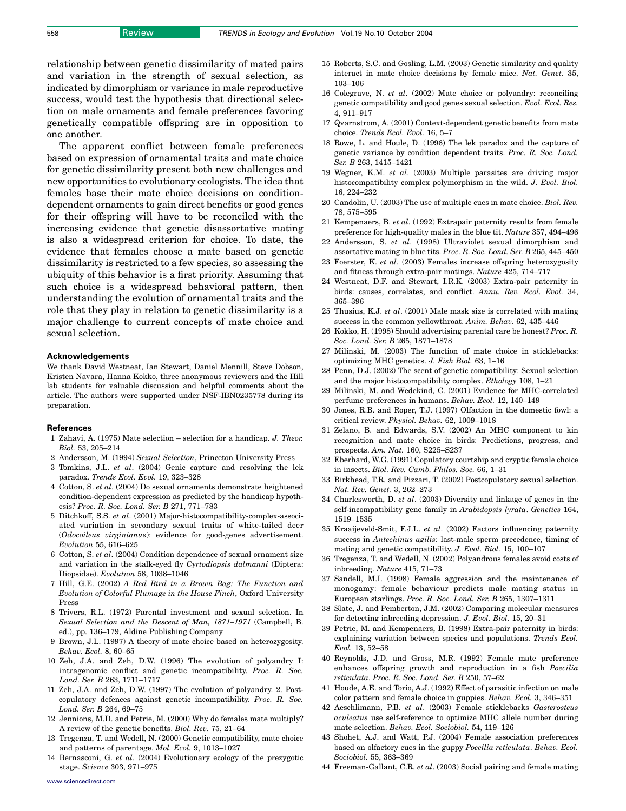<span id="page-4-0"></span>relationship between genetic dissimilarity of mated pairs and variation in the strength of sexual selection, as indicated by dimorphism or variance in male reproductive success, would test the hypothesis that directional selection on male ornaments and female preferences favoring genetically compatible offspring are in opposition to one another.

The apparent conflict between female preferences based on expression of ornamental traits and mate choice for genetic dissimilarity present both new challenges and new opportunities to evolutionary ecologists. The idea that females base their mate choice decisions on conditiondependent ornaments to gain direct benefits or good genes for their offspring will have to be reconciled with the increasing evidence that genetic disassortative mating is also a widespread criterion for choice. To date, the evidence that females choose a mate based on genetic dissimilarity is restricted to a few species, so assessing the ubiquity of this behavior is a first priority. Assuming that such choice is a widespread behavioral pattern, then understanding the evolution of ornamental traits and the role that they play in relation to genetic dissimilarity is a major challenge to current concepts of mate choice and sexual selection.

#### Acknowledgements

We thank David Westneat, Ian Stewart, Daniel Mennill, Steve Dobson, Kristen Navara, Hanna Kokko, three anonymous reviewers and the Hill lab students for valuable discussion and helpful comments about the article. The authors were supported under NSF-IBN0235778 during its preparation.

#### References

- 1 Zahavi, A. (1975) Mate selection selection for a handicap. J. Theor. Biol. 53, 205–214
- 2 Andersson, M. (1994) Sexual Selection, Princeton University Press
- 3 Tomkins, J.L. et al. (2004) Genic capture and resolving the lek paradox. Trends Ecol. Evol. 19, 323–328
- 4 Cotton, S. et al. (2004) Do sexual ornaments demonstrate heightened condition-dependent expression as predicted by the handicap hypothesis? Proc. R. Soc. Lond. Ser. B 271, 771–783
- 5 Ditchkoff, S.S. et al. (2001) Major-histocompatibility-complex-associated variation in secondary sexual traits of white-tailed deer (Odocoileus virginianus): evidence for good-genes advertisement. Evolution 55, 616–625
- 6 Cotton, S. et al. (2004) Condition dependence of sexual ornament size and variation in the stalk-eyed fly Cyrtodiopsis dalmanni (Diptera: Diopsidae). Evolution 58, 1038–1046
- 7 Hill, G.E. (2002) A Red Bird in a Brown Bag: The Function and Evolution of Colorful Plumage in the House Finch, Oxford University Press
- 8 Trivers, R.L. (1972) Parental investment and sexual selection. In Sexual Selection and the Descent of Man, 1871–1971 (Campbell, B. ed.), pp. 136–179, Aldine Publishing Company
- 9 Brown, J.L. (1997) A theory of mate choice based on heterozygosity. Behav. Ecol. 8, 60–65
- 10 Zeh, J.A. and Zeh, D.W. (1996) The evolution of polyandry I: intragenomic conflict and genetic incompatibility. Proc. R. Soc. Lond. Ser. B 263, 1711–1717
- 11 Zeh, J.A. and Zeh, D.W. (1997) The evolution of polyandry. 2. Postcopulatory defences against genetic incompatibility. Proc. R. Soc. Lond. Ser. B 264, 69–75
- 12 Jennions, M.D. and Petrie, M. (2000) Why do females mate multiply? A review of the genetic benefits. Biol. Rev. 75, 21–64
- 13 Tregenza, T. and Wedell, N. (2000) Genetic compatibility, mate choice and patterns of parentage. Mol. Ecol. 9, 1013–1027
- 14 Bernasconi, G. et al. (2004) Evolutionary ecology of the prezygotic stage. Science 303, 971–975
- 15 Roberts, S.C. and Gosling, L.M. (2003) Genetic similarity and quality interact in mate choice decisions by female mice. Nat. Genet. 35, 103–106
- 16 Colegrave, N. et al. (2002) Mate choice or polyandry: reconciling genetic compatibility and good genes sexual selection. Evol. Ecol. Res. 4, 911–917
- 17 Qvarnstrom, A. (2001) Context-dependent genetic benefits from mate choice. Trends Ecol. Evol. 16, 5–7
- 18 Rowe, L. and Houle, D. (1996) The lek paradox and the capture of genetic variance by condition dependent traits. Proc. R. Soc. Lond. Ser. B 263, 1415–1421
- 19 Wegner, K.M. et al. (2003) Multiple parasites are driving major histocompatibility complex polymorphism in the wild. J. Evol. Biol. 16, 224–232
- 20 Candolin, U. (2003) The use of multiple cues in mate choice. Biol. Rev. 78, 575–595
- 21 Kempenaers, B. et al. (1992) Extrapair paternity results from female preference for high-quality males in the blue tit. Nature 357, 494–496
- 22 Andersson, S. et al. (1998) Ultraviolet sexual dimorphism and assortative mating in blue tits. Proc. R. Soc. Lond. Ser. B 265, 445–450
- 23 Foerster, K. et al. (2003) Females increase offspring heterozygosity and fitness through extra-pair matings. Nature 425, 714–717
- 24 Westneat, D.F. and Stewart, I.R.K. (2003) Extra-pair paternity in birds: causes, correlates, and conflict. Annu. Rev. Ecol. Evol. 34, 365–396
- 25 Thusius, K.J. et al. (2001) Male mask size is correlated with mating success in the common yellowthroat. Anim. Behav. 62, 435–446
- 26 Kokko, H. (1998) Should advertising parental care be honest? Proc. R. Soc. Lond. Ser. B 265, 1871–1878
- 27 Milinski, M. (2003) The function of mate choice in sticklebacks: optimizing MHC genetics. J. Fish Biol. 63, 1–16
- 28 Penn, D.J. (2002) The scent of genetic compatibility: Sexual selection and the major histocompatibility complex. Ethology 108, 1–21
- 29 Milinski, M. and Wedekind, C. (2001) Evidence for MHC-correlated perfume preferences in humans. Behav. Ecol. 12, 140–149
- 30 Jones, R.B. and Roper, T.J. (1997) Olfaction in the domestic fowl: a critical review. Physiol. Behav. 62, 1009–1018
- 31 Zelano, B. and Edwards, S.V. (2002) An MHC component to kin recognition and mate choice in birds: Predictions, progress, and prospects. Am. Nat. 160, S225–S237
- 32 Eberhard, W.G. (1991) Copulatory courtship and cryptic female choice in insects. Biol. Rev. Camb. Philos. Soc. 66, 1–31
- 33 Birkhead, T.R. and Pizzari, T. (2002) Postcopulatory sexual selection. Nat. Rev. Genet. 3, 262–273
- 34 Charlesworth, D. et al. (2003) Diversity and linkage of genes in the self-incompatibility gene family in Arabidopsis lyrata. Genetics 164, 1519–1535
- 35 Kraaijeveld-Smit, F.J.L. et al. (2002) Factors influencing paternity success in Antechinus agilis: last-male sperm precedence, timing of mating and genetic compatibility. J. Evol. Biol. 15, 100–107
- 36 Tregenza, T. and Wedell, N. (2002) Polyandrous females avoid costs of inbreeding. Nature 415, 71–73
- 37 Sandell, M.I. (1998) Female aggression and the maintenance of monogamy: female behaviour predicts male mating status in European starlings. Proc. R. Soc. Lond. Ser. B 265, 1307–1311
- 38 Slate, J. and Pemberton, J.M. (2002) Comparing molecular measures for detecting inbreeding depression. J. Evol. Biol. 15, 20–31
- 39 Petrie, M. and Kempenaers, B. (1998) Extra-pair paternity in birds: explaining variation between species and populations. Trends Ecol. Evol. 13, 52–58
- 40 Reynolds, J.D. and Gross, M.R. (1992) Female mate preference enhances offspring growth and reproduction in a fish Poecilia reticulata. Proc. R. Soc. Lond. Ser. B 250, 57–62
- 41 Houde, A.E. and Torio, A.J. (1992) Effect of parasitic infection on male color pattern and female choice in guppies. Behav. Ecol. 3, 346–351
- 42 Aeschlimann, P.B. et al. (2003) Female sticklebacks Gasterosteus aculeatus use self-reference to optimize MHC allele number during mate selection. Behav. Ecol. Sociobiol. 54, 119–126
- 43 Shohet, A.J. and Watt, P.J. (2004) Female association preferences based on olfactory cues in the guppy Poecilia reticulata. Behav. Ecol. Sociobiol. 55, 363–369
- 44 Freeman-Gallant, C.R. et al. (2003) Social pairing and female mating